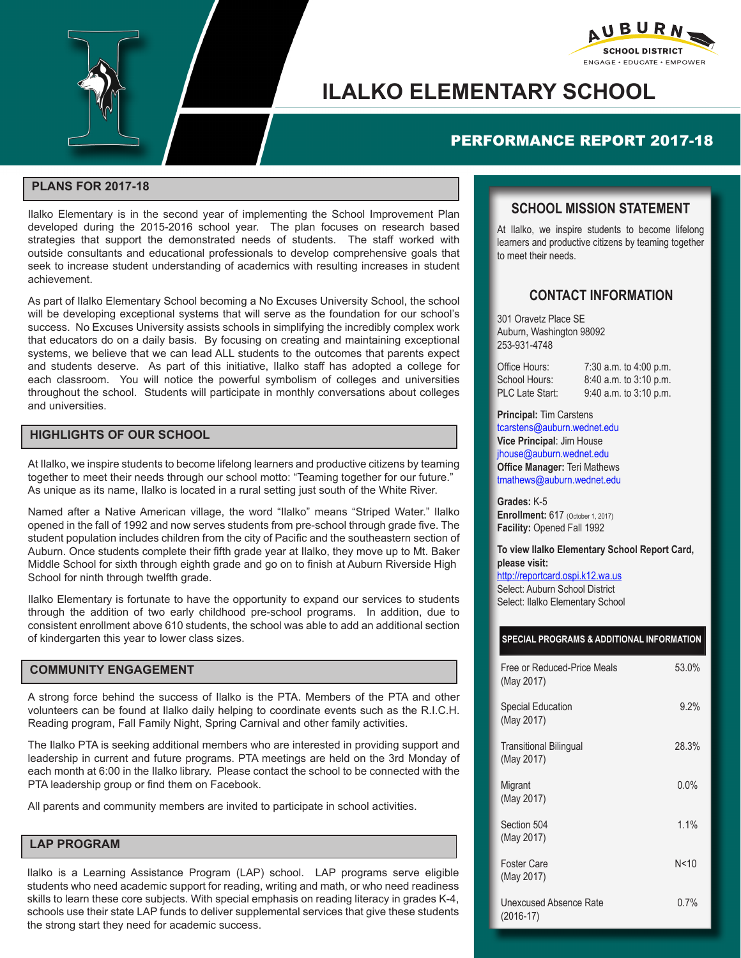



# **ILALKO ELEMENTARY SCHOOL**

# PERFORMANCE REPORT 2017-18

### **PLANS FOR 2017-18**

Ilalko Elementary is in the second year of implementing the School Improvement Plan developed during the 2015-2016 school year. The plan focuses on research based strategies that support the demonstrated needs of students. The staff worked with outside consultants and educational professionals to develop comprehensive goals that seek to increase student understanding of academics with resulting increases in student achievement.

As part of Ilalko Elementary School becoming a No Excuses University School, the school will be developing exceptional systems that will serve as the foundation for our school's success. No Excuses University assists schools in simplifying the incredibly complex work that educators do on a daily basis. By focusing on creating and maintaining exceptional systems, we believe that we can lead ALL students to the outcomes that parents expect and students deserve. As part of this initiative, Ilalko staff has adopted a college for each classroom. You will notice the powerful symbolism of colleges and universities throughout the school. Students will participate in monthly conversations about colleges and universities.

### **HIGHLIGHTS OF OUR SCHOOL**

At Ilalko, we inspire students to become lifelong learners and productive citizens by teaming together to meet their needs through our school motto: "Teaming together for our future." As unique as its name, Ilalko is located in a rural setting just south of the White River.

Named after a Native American village, the word "Ilalko" means "Striped Water." Ilalko opened in the fall of 1992 and now serves students from pre-school through grade five. The student population includes children from the city of Pacific and the southeastern section of Auburn. Once students complete their fifth grade year at Ilalko, they move up to Mt. Baker Middle School for sixth through eighth grade and go on to finish at Auburn Riverside High School for ninth through twelfth grade.

Ilalko Elementary is fortunate to have the opportunity to expand our services to students through the addition of two early childhood pre-school programs. In addition, due to consistent enrollment above 610 students, the school was able to add an additional section of kindergarten this year to lower class sizes.

#### **COMMUNITY ENGAGEMENT**

A strong force behind the success of Ilalko is the PTA. Members of the PTA and other volunteers can be found at Ilalko daily helping to coordinate events such as the R.I.C.H. Reading program, Fall Family Night, Spring Carnival and other family activities.

The Ilalko PTA is seeking additional members who are interested in providing support and leadership in current and future programs. PTA meetings are held on the 3rd Monday of each month at 6:00 in the Ilalko library. Please contact the school to be connected with the PTA leadership group or find them on Facebook.

All parents and community members are invited to participate in school activities.

#### **LAP PROGRAM**

Ilalko is a Learning Assistance Program (LAP) school. LAP programs serve eligible students who need academic support for reading, writing and math, or who need readiness skills to learn these core subjects. With special emphasis on reading literacy in grades K-4, schools use their state LAP funds to deliver supplemental services that give these students the strong start they need for academic success.

## **SCHOOL MISSION STATEMENT**

At Ilalko, we inspire students to become lifelong learners and productive citizens by teaming together to meet their needs.

## **CONTACT INFORMATION**

301 Oravetz Place SE Auburn, Washington 98092 253-931-4748

| Office Hours:          | 7:30 a.m. to 4:00 p.m.     |
|------------------------|----------------------------|
| School Hours:          | $8:40$ a.m. to $3:10$ p.m. |
| <b>PLC Late Start:</b> | $9:40$ a.m. to $3:10$ p.m. |

**Principal:** Tim Carstens tcarstens@auburn.wednet.edu **Vice Principal**: Jim House jhouse@auburn.wednet.edu **Office Manager:** Teri Mathews tmathews@auburn.wednet.edu

**Grades:** K-5 **Enrollment:** 617 (October 1, 2017) **Facility:** Opened Fall 1992

**To view Ilalko Elementary School Report Card, please visit:**  http://reportcard.ospi.k12.wa.us Select: Auburn School District

Select: Ilalko Elementary School

#### **SPECIAL PROGRAMS & ADDITIONAL INFORMATION**

| Free or Reduced-Price Meals<br>(May 2017)   | 53.0% |
|---------------------------------------------|-------|
| <b>Special Education</b><br>(May 2017)      | 9.2%  |
| <b>Transitional Bilingual</b><br>(May 2017) | 28.3% |
| Migrant<br>(May 2017)                       | 0.0%  |
| Section 504<br>(May 2017)                   | 1.1%  |
| Foster Care<br>(May 2017)                   | N<10  |
| Unexcused Absence Rate<br>$(2016-17)$       | 0.7%  |